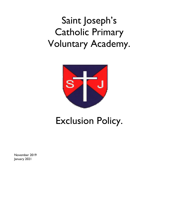

# Exclusion Policy.

November 2019 January 2021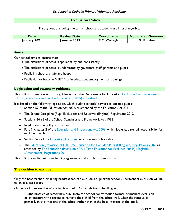## **Exclusion Policy**

Throughout this policy the terms school and academy are interchangeable.

| <b>Date</b>  | <b>Review Date</b> | Coordinator        | <b>Nominated Governor</b> |
|--------------|--------------------|--------------------|---------------------------|
| January 2021 | January 2023       | <b>E</b> McCullagh | G. Purdue                 |

#### **Aims**

Our school aims to ensure that:

- The exclusions process is applied fairly and consistently
- The exclusions process is understood by governors, staff, parents and pupils
- Pupils in school are safe and happy
- Pupils do not become NEET (not in education, employment or training)

### **Legislation and statutory guidance**

This policy is based on statutory guidance from the Department for Education: **Exclusion from maintained** [schools, academies and pupil referral units \(PRUs\) in England.](https://www.gov.uk/government/publications/school-exclusion)

It is based on the following legislation, which outline schools' powers to exclude pupils:

- Section 52 of the [Education Act 2002,](http://www.legislation.gov.uk/ukpga/2002/32/section/52) as amended by the [Education Act 2011](http://www.legislation.gov.uk/ukpga/2011/21/contents/enacted)
- [The School Discipline \(Pupil Exclusions and Reviews\) \(England\) Regulations 2012](http://www.legislation.gov.uk/uksi/2012/1033/made)
- Sections 64-68 of the [School Standards and Framework Act 1998](http://www.legislation.gov.uk/ukpga/1998/31)
- In addition, the policy is based on:
- Part 7, chapter 2 of the [Education and Inspections Act 2006,](http://www.legislation.gov.uk/ukpga/2006/40/part/7/chapter/2) which looks at parental responsibility for excluded pupils
- Section 579 of the [Education Act 1996,](http://www.legislation.gov.uk/ukpga/1996/56/section/579) which defines 'school day'
- The [Education \(Provision of Full-Time Education for Excluded Pupils\) \(England\) Regulations 2007,](http://www.legislation.gov.uk/uksi/2007/1870/contents/made) as amended by [The Education \(Provision of Full-Time Education for Excluded Pupils\) \(England\)](http://www.legislation.gov.uk/uksi/2014/3216/contents/made)  [\(Amendment\) Regulations 2014](http://www.legislation.gov.uk/uksi/2014/3216/contents/made)

This policy complies with our funding agreement and articles of association.

### **The decision to exclude.**

Only the headteacher, or acting headteacher, can exclude a pupil from school. A permanent exclusion will be taken as a last resort.

Our school is aware that off-rolling is unlawful. Ofsted defines off-rolling as:

"…the practice of removing a pupil from the school roll without a formal, permanent exclusion or by encouraging a parent to remove their child from the school roll, when the removal is primarily in the interests of the school rather than in the best interests of the pupil."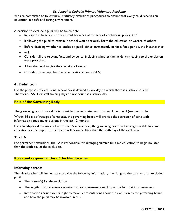We are committed to following all statutory exclusions procedures to ensure that every child receives an education in a safe and caring environment.

A decision to exclude a pupil will be taken only:

- In response to serious or persistent breaches of the school's behaviour policy, **and**
- If allowing the pupil to remain in school would seriously harm the education or welfare of others
- Before deciding whether to exclude a pupil, either permanently or for a fixed period, the Headteacher
- will:
- Consider all the relevant facts and evidence, including whether the incident(s) leading to the exclusion were provoked
- Allow the pupil to give their version of events
- Consider if the pupil has special educational needs (SEN)

## **4. Definition**

For the purposes of exclusions, school day is defined as any day on which there is a school session. Therefore, INSET or staff training days do not count as a school day.

## **Role of the Governing Body**

The governing board has a duty to consider the reinstatement of an excluded pupil (see section 6)

Within 14 days of receipt of a request, the governing board will provide the secretary of state with information about any exclusions in the last 12 months.

For a fixed-period exclusion of more than 5 school days, the governing board will arrange suitable full-time education for the pupil. This provision will begin no later than the sixth day of the exclusion.

## **The LA**

For permanent exclusions, the LA is responsible for arranging suitable full-time education to begin no later than the sixth day of the exclusion.

### **Roles and responsibilities of the Headteacher**

### **Informing parents**

The Headteacher will immediately provide the following information, in writing, to the parents of an excluded pupil:

- The reason(s) for the exclusion
- The length of a fixed-term exclusion or, for a permanent exclusion, the fact that it is permanent
- Information about parents' right to make representations about the exclusion to the governing board and how the pupil may be involved in this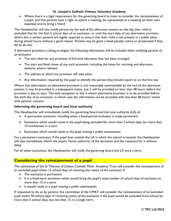Where there is a legal requirement for the governing board to meet to consider the reinstatement of a pupil, and that parents have a right to attend a meeting, be represented at a meeting (at their own expense) and to bring a friend

The Headteacher will also notify parents by the end of the afternoon session on the day their child is excluded that for the first 5 school days of an exclusion, or until the start date of any alternative provision where this is earlier, parents are legally required to ensure that their child is not present in a public place during school hours without a good reason. Parents may be given a fixed penalty notice or prosecuted if they fail to do this.

If alternative provision is being arranged, the following information will be included when notifying parents of an exclusion:

- The start date for any provision of full-time education that has been arranged
- The start and finish times of any such provision, including the times for morning and afternoon sessions, where relevant
- The address at which the provision will take place
- Any information required by the pupil to identify the person they should report to on the first day

Where this information on alternative provision is not reasonably ascertainable by the end of the afternoon session, it may be provided in a subsequent notice, but it will be provided no later than 48 hours before the provision is due to start. The only exception to this is where alternative provision is to be provided before the sixth day of an exclusion, in which case the information can be provided with less than 48 hours' notice with parents' consent.

## **Informing the governing board and local authority**

The Headteacher will immediately notify the governing board and the local authority (LA) of:

- A permanent exclusion, including when a fixed-period exclusion is made permanent
- Exclusions which would result in the pupil being excluded for more than 5 school days (or more than 10 lunchtimes) in a term
- Exclusions which would result in the pupil missing a public examination

For a permanent exclusion, if the pupil lives outside the LA in which the school is located, the Headteacher will also immediately inform the pupil's 'home authority' of the exclusion and the reason(s) for it without delay.

For all other exclusions, the Headteacher will notify the governing board and LA once a term.

## **Considering the reinstatement of a pupil**

The committee of the St Therese of Lisieux Catholic Multi- Academy Trust will consider the reinstatement of an excluded pupil within 15 school days of receiving the notice of the exclusion if:

- The exclusion is permanent
- It is a fixed-term exclusion which would bring the pupil's total number of school days of exclusion to more than 15 in a term
- It would result in a pupil missing a public examination

If requested to do so by parents, the committee of the CMAT will consider the reinstatement of an excluded pupil within 50 school days of receiving notice of the exclusion if the pupil would be excluded from school for more than 5 school days, but less than 15, in a single term.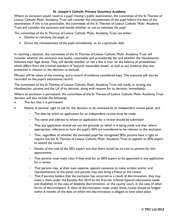Where an exclusion would result in a pupil missing a public examination, the committee of the St Therese of Lisieux Catholic Multi- Academy Trust will consider the reinstatement of the pupil before the date of the examination. If this is not practicable, the committee of the St Therese of Lisieux Catholic Multi- Academy Trust will consider the exclusion and decide whether or not to reinstate the pupil.

The committee of the St Therese of Lisieux Catholic Multi- Academy Trust can either:

- Decline to reinstate the pupil, or
- Direct the reinstatement of the pupil immediately, or on a particular date

In reaching a decision, the committee of the St Therese of Lisieux Catholic Multi- Academy Trust will consider whether the exclusion was lawful, reasonable and procedurally fair and whether the Headteacher followed their legal duties. They will decide whether or not a fact is true 'on the balance of probabilities', which differs from the criminal standard of 'beyond reasonable doubt', as well as any evidence that was presented in relation to the decision to exclude.

Minutes will be taken of the meeting, and a record of evidence considered kept. The outcome will also be recorded on the pupil's educational record.

The committee of the St Therese of Lisieux Catholic Multi- Academy Trust will notify, in writing, the Headteacher, parents and the LA of its decision, along with reasons for its decision, immediately.

Where an exclusion is permanent, the committee of the St Therese of Lisieux Catholic Multi- Academy Trust decision will also include the following:

- The fact that it is permanent
- Notice of parents' right to ask for the decision to be reviewed by an independent review panel, and:
	- The date by which an application for an independent review must be made
	- The name and address to whom an application for a review should be submitted
	- That any application should set out the grounds on which it is being made and that, where appropriate, reference to how the pupil's SEN are considered to be relevant to the exclusion
	- That, regardless of whether the excluded pupil has recognised SEN, parents have a right to require the the St Therese of Lisieux Catholic Multi- Academy Trust to appoint an SEN expert to attend the review
	- Details of the role of the SEN expert and that there would be no cost to parents for this appointment
	- That parents must make clear if they wish for an SEN expert to be appointed in any application for a review
	- That parents may, at their own expense, appoint someone to make written and/or oral representations to the panel, and parents may also bring a friend to the review
	- That if parents believe that the exclusion has occurred as a result of discrimination, they may make a claim under the Equality Act 2010 to the first-tier tribunal (special educational needs and disability), in the case of disability discrimination, or the county court, in the case of other forms of discrimination. A claim of discrimination made under these routes should be lodged within 6 months of the date on which the discrimination is alleged to have taken place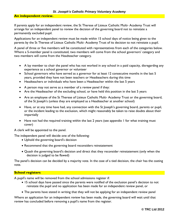#### **An independent review.**

If parents apply for an independent review, the St Therese of Lisieux Catholic Multi- Academy Trust will arrange for an independent panel to review the decision of the governing board not to reinstate a permanently excluded pupil.

Applications for an independent review must be made within 15 school days of notice being given to the parents by the St Therese of Lisieux Catholic Multi- Academy Trust of its decision to not reinstate a pupil.

A panel of three or five members will be constituted with representatives from each of the categories below. Where a 5-member panel is constituted, two members will come from the school governors' category and two members will come from the Headteacher category.

- A lay member to chair the panel who has not worked in any school in a paid capacity, disregarding any experience as a school governor or volunteer
- School governors who have served as a governor for at least 12 consecutive months in the last 5 years, provided they have not been teachers or Headteachers during this time
- Headteachers or individuals who have been a Headteacher within the last 5 years
- A person may not serve as a member of a review panel if they:
- Are the Headteacher of the excluding school, or have held this position in the last 5 years
- Are an employee of the St Therese of Lisieux Catholic Multi- Academy Trust or the governing board, of the St Joseph's (unless they are employed as a Headteacher at another school)
- Have, or at any time have had, any connection with the St Joseph's governing board, parents or pupil, or the incident leading to the exclusion, which might reasonably be taken to raise doubts about their impartially
- Have not had the required training within the last 2 years (see appendix 1 for what training must cover)

A clerk will be appointed to the panel.

The independent panel will decide one of the following:

- Uphold the governing board's decision
- Recommend that the governing board reconsiders reinstatement
- Quash the governing board's decision and direct that they reconsider reinstatement (only when the decision is judged to be flawed)

The panel's decision can be decided by a majority vote. In the case of a tied decision, the chair has the casting vote.

## **School registers**

A pupil's name will be removed from the school admissions register if:

- 15 school days have passed since the parents were notified of the exclusion panel's decision to not reinstate the pupil and no application has been made for an independent review panel, or
- The parents have stated in writing that they will not be applying for an independent review panel

Where an application for an independent review has been made, the governing board will wait until that review has concluded before removing a pupil's name from the register.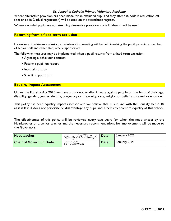Where alternative provision has been made for an excluded pupil and they attend it, code B (education offsite) or code D (dual registration) will be used on the attendance register.

Where excluded pupils are not attending alternative provision, code E (absent) will be used.

#### **Returning from a fixed-term exclusion**

Following a fixed-term exclusion, a re-integration meeting will be held involving the pupil, parents, a member of senior staff and other staff, where appropriate.

The following measures may be implemented when a pupil returns from a fixed-term exclusion:

- Agreeing a behaviour contract
- Putting a pupil 'on report'
- Internal isolation
- Specific support plan

### **Equality Impact Assessment**

Under the Equality Act 2010 we have a duty not to discriminate against people on the basis of their age, disability, gender, gender identity, pregnancy or maternity, race, religion or belief and sexual orientation.

This policy has been equality impact assessed and we believe that it is in line with the Equality Act 2010 as it is fair, it does not prioritise or disadvantage any pupil and it helps to promote equality at this school.

The effectiveness of this policy will be reviewed every two years (or when the need arises) by the Headteacher or a senior teacher and the necessary recommendations for improvement will be made to the Governors.

| Headteacher:                    | <sup>C</sup> mily McCullagh | Date: | January 2021 |
|---------------------------------|-----------------------------|-------|--------------|
| <b>Chair of Governing Body:</b> | R Mellows                   | Date: | January 2021 |